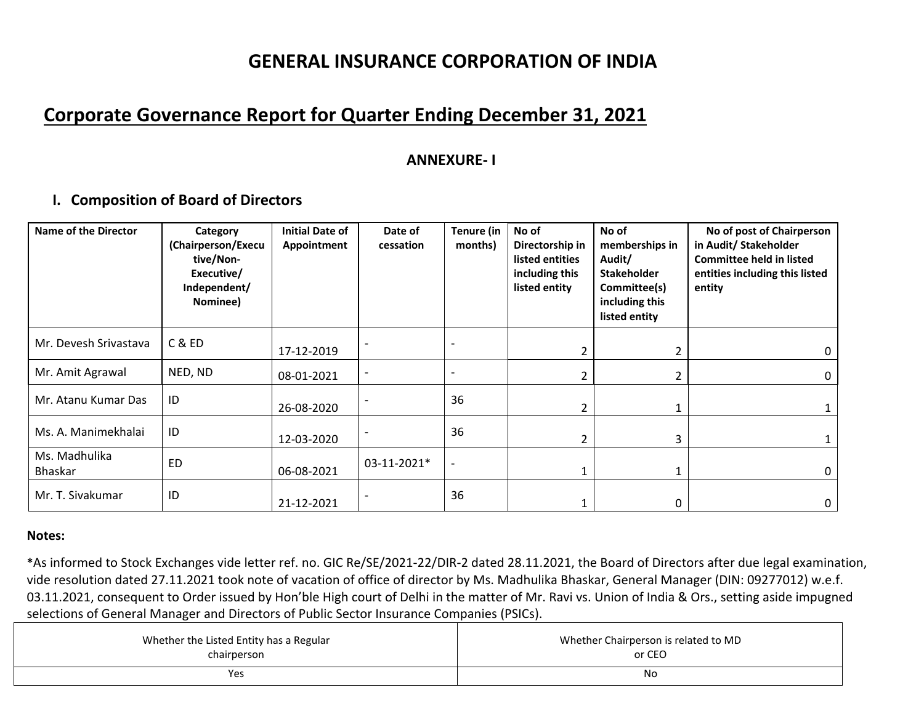## **Corporate Governance Report for Quarter Ending December 31, 2021**

### **ANNEXURE‐ I**

### **I. Composition of Board of Directors**

| <b>Name of the Director</b>     | Category<br>(Chairperson/Execu<br>tive/Non-<br>Executive/<br>Independent/<br>Nominee) | <b>Initial Date of</b><br>Appointment | Date of<br>cessation | Tenure (in<br>months) | No of<br>Directorship in<br>listed entities<br>including this<br>listed entity | No of<br>memberships in<br>Audit/<br><b>Stakeholder</b><br>Committee(s)<br>including this<br>listed entity | No of post of Chairperson<br>in Audit/ Stakeholder<br><b>Committee held in listed</b><br>entities including this listed<br>entity |
|---------------------------------|---------------------------------------------------------------------------------------|---------------------------------------|----------------------|-----------------------|--------------------------------------------------------------------------------|------------------------------------------------------------------------------------------------------------|-----------------------------------------------------------------------------------------------------------------------------------|
| Mr. Devesh Srivastava           | C & ED                                                                                | 17-12-2019                            |                      |                       |                                                                                | 2                                                                                                          | 0                                                                                                                                 |
| Mr. Amit Agrawal                | NED, ND                                                                               | 08-01-2021                            |                      |                       |                                                                                | 2                                                                                                          | $\mathbf{0}$                                                                                                                      |
| Mr. Atanu Kumar Das             | ID                                                                                    | 26-08-2020                            |                      | 36                    |                                                                                |                                                                                                            |                                                                                                                                   |
| Ms. A. Manimekhalai             | ID                                                                                    | 12-03-2020                            |                      | 36                    |                                                                                | 3                                                                                                          |                                                                                                                                   |
| Ms. Madhulika<br><b>Bhaskar</b> | <b>ED</b>                                                                             | 06-08-2021                            | 03-11-2021*          | $\blacksquare$        |                                                                                |                                                                                                            |                                                                                                                                   |
| Mr. T. Sivakumar                | ID                                                                                    | 21-12-2021                            |                      | 36                    |                                                                                | 0                                                                                                          | 0                                                                                                                                 |

#### **Notes:**

**\***As informed to Stock Exchanges vide letter ref. no. GIC Re/SE/2021‐22/DIR‐2 dated 28.11.2021, the Board of Directors after due legal examination, vide resolution dated 27.11.2021 took note of vacation of office of director by Ms. Madhulika Bhaskar, General Manager (DIN: 09277012) w.e.f. 03.11.2021, consequent to Order issued by Hon'ble High court of Delhi in the matter of Mr. Ravi vs. Union of India & Ors., setting aside impugned selections of General Manager and Directors of Public Sector Insurance Companies (PSICs).

| Whether the Listed Entity has a Regular | Whether Chairperson is related to MD |
|-----------------------------------------|--------------------------------------|
| chairperson                             | or CEO                               |
| Yes                                     | Νo                                   |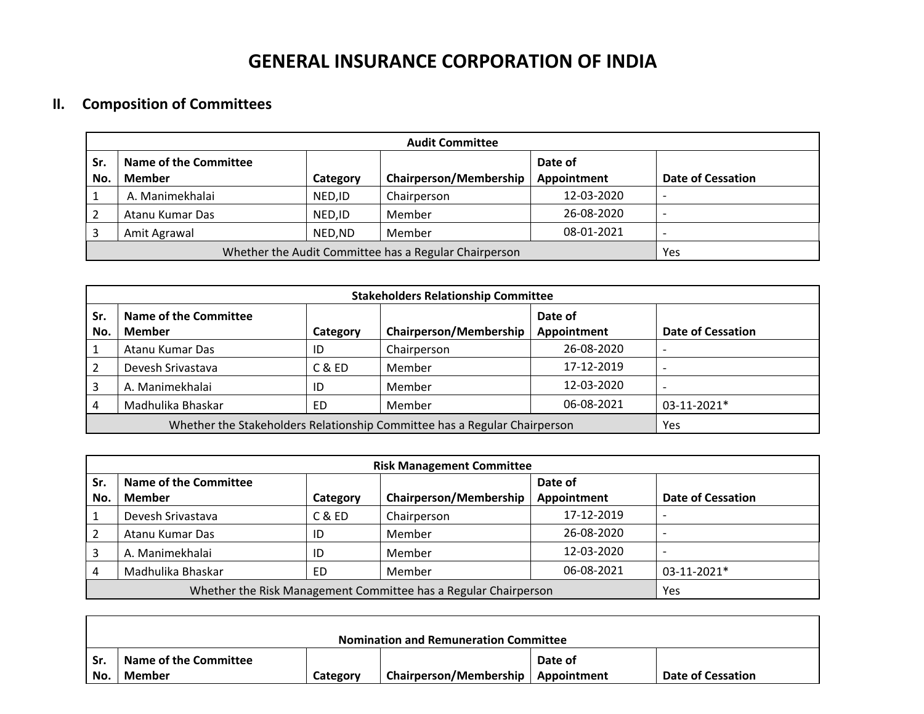### **II. Composition of Committees**

 $\Gamma$ 

|                | <b>Audit Committee</b>                                |          |                               |             |                          |  |  |  |
|----------------|-------------------------------------------------------|----------|-------------------------------|-------------|--------------------------|--|--|--|
| Sr.            | Name of the Committee                                 |          |                               | Date of     |                          |  |  |  |
| No.            | Member                                                | Category | <b>Chairperson/Membership</b> | Appointment | <b>Date of Cessation</b> |  |  |  |
|                | A. Manimekhalai                                       | NED, ID  | Chairperson                   | 12-03-2020  |                          |  |  |  |
| $\overline{2}$ | Atanu Kumar Das                                       | NED.ID   | 26-08-2020                    |             |                          |  |  |  |
| 3              | Amit Agrawal                                          | NED,ND   | Member                        | 08-01-2021  |                          |  |  |  |
|                | Whether the Audit Committee has a Regular Chairperson | Yes      |                               |             |                          |  |  |  |

|                | <b>Stakeholders Relationship Committee</b>                                |          |                               |                        |                          |  |  |  |  |
|----------------|---------------------------------------------------------------------------|----------|-------------------------------|------------------------|--------------------------|--|--|--|--|
| Sr.<br>No.     | Name of the Committee<br>Member                                           | Category | <b>Chairperson/Membership</b> | Date of<br>Appointment | <b>Date of Cessation</b> |  |  |  |  |
| 1              | Atanu Kumar Das                                                           | ID       | Chairperson                   | 26-08-2020             |                          |  |  |  |  |
| $\overline{2}$ | Devesh Srivastava                                                         | C & ED   | Member                        | 17-12-2019             |                          |  |  |  |  |
| 3              | A. Manimekhalai                                                           | ID       | Member                        | 12-03-2020             |                          |  |  |  |  |
| 4              | Madhulika Bhaskar                                                         | ED       | Member                        | 06-08-2021             | $03-11-2021*$            |  |  |  |  |
|                | Whether the Stakeholders Relationship Committee has a Regular Chairperson | Yes      |                               |                        |                          |  |  |  |  |

|     | <b>Risk Management Committee</b>                                |          |                               |             |                          |  |  |  |
|-----|-----------------------------------------------------------------|----------|-------------------------------|-------------|--------------------------|--|--|--|
| Sr. | <b>Name of the Committee</b>                                    |          |                               | Date of     |                          |  |  |  |
| No. | Member                                                          | Category | <b>Chairperson/Membership</b> | Appointment | <b>Date of Cessation</b> |  |  |  |
|     | Devesh Srivastava                                               | C & ED   | Chairperson                   | 17-12-2019  |                          |  |  |  |
|     | Atanu Kumar Das                                                 | ID       | Member                        | 26-08-2020  |                          |  |  |  |
|     | A. Manimekhalai                                                 | ID       | Member                        | 12-03-2020  |                          |  |  |  |
|     | Madhulika Bhaskar                                               | ED       | Member                        | 06-08-2021  | 03-11-2021*              |  |  |  |
|     | Whether the Risk Management Committee has a Regular Chairperson | Yes      |                               |             |                          |  |  |  |

|       | <b>Nomination and Remuneration Committee</b> |          |                                      |         |                          |  |  |  |
|-------|----------------------------------------------|----------|--------------------------------------|---------|--------------------------|--|--|--|
| l Sr. | Name of the Committee                        |          |                                      | Date of |                          |  |  |  |
| No.   | Member                                       | Category | Chairperson/Membership   Appointment |         | <b>Date of Cessation</b> |  |  |  |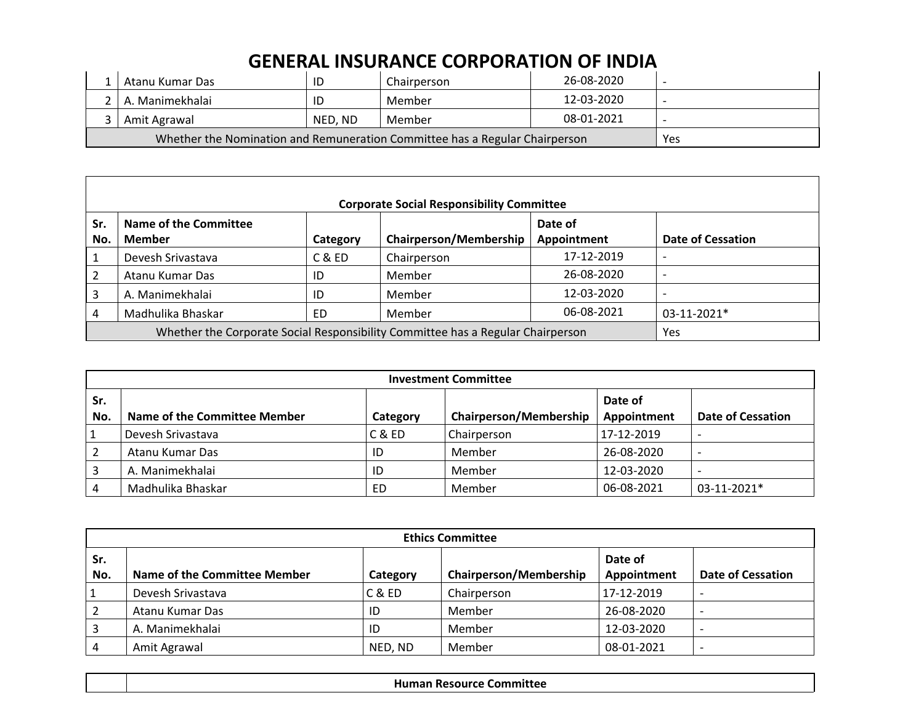| Atanu Kumar Das                                                             | ID      | Chairperson | 26-08-2020 |  |
|-----------------------------------------------------------------------------|---------|-------------|------------|--|
| A. Manimekhalai                                                             | ID      | Member      | 12-03-2020 |  |
| Amit Agrawal                                                                | NED. ND | Member      | 08-01-2021 |  |
| Whether the Nomination and Remuneration Committee has a Regular Chairperson | Yes     |             |            |  |

|            | <b>Corporate Social Responsibility Committee</b>                                |          |                               |                        |                          |  |  |  |  |
|------------|---------------------------------------------------------------------------------|----------|-------------------------------|------------------------|--------------------------|--|--|--|--|
| Sr.<br>No. | Name of the Committee<br>Member                                                 | Category | <b>Chairperson/Membership</b> | Date of<br>Appointment | <b>Date of Cessation</b> |  |  |  |  |
|            | Devesh Srivastava                                                               | C & ED   | Chairperson                   | 17-12-2019             |                          |  |  |  |  |
|            | Atanu Kumar Das                                                                 | ID       | Member                        | 26-08-2020             |                          |  |  |  |  |
| 3          | A. Manimekhalai                                                                 | ID       | Member                        | 12-03-2020             |                          |  |  |  |  |
| 4          | Madhulika Bhaskar                                                               | ED       | Member                        | 06-08-2021             | $03-11-2021*$            |  |  |  |  |
|            | Whether the Corporate Social Responsibility Committee has a Regular Chairperson | Yes      |                               |                        |                          |  |  |  |  |

|            | <b>Investment Committee</b>         |          |                               |                        |                          |  |  |  |
|------------|-------------------------------------|----------|-------------------------------|------------------------|--------------------------|--|--|--|
| Sr.<br>No. | <b>Name of the Committee Member</b> | Category | <b>Chairperson/Membership</b> | Date of<br>Appointment | <b>Date of Cessation</b> |  |  |  |
|            | Devesh Srivastava                   | C & ED   | Chairperson                   | 17-12-2019             |                          |  |  |  |
|            | Atanu Kumar Das                     | ID       | Member                        | 26-08-2020             |                          |  |  |  |
|            | A. Manimekhalai                     | ID       | Member                        | 12-03-2020             | $\overline{\phantom{0}}$ |  |  |  |
|            | Madhulika Bhaskar                   | ED       | Member                        | 06-08-2021             | $03-11-2021*$            |  |  |  |

|            | <b>Ethics Committee</b>      |          |                               |                        |                          |  |  |  |
|------------|------------------------------|----------|-------------------------------|------------------------|--------------------------|--|--|--|
| Sr.<br>No. | Name of the Committee Member | Category | <b>Chairperson/Membership</b> | Date of<br>Appointment | <b>Date of Cessation</b> |  |  |  |
| 1          | Devesh Srivastava            | C & ED   | Chairperson                   | 17-12-2019             |                          |  |  |  |
|            | Atanu Kumar Das              | ID       | Member                        | 26-08-2020             |                          |  |  |  |
|            | A. Manimekhalai              | ID       | Member                        | 12-03-2020             | -                        |  |  |  |
|            | Amit Agrawal                 | NED, ND  | Member                        | 08-01-2021             |                          |  |  |  |

| nittee<br>omn<br>пι<br>.<br>. . |
|---------------------------------|
|                                 |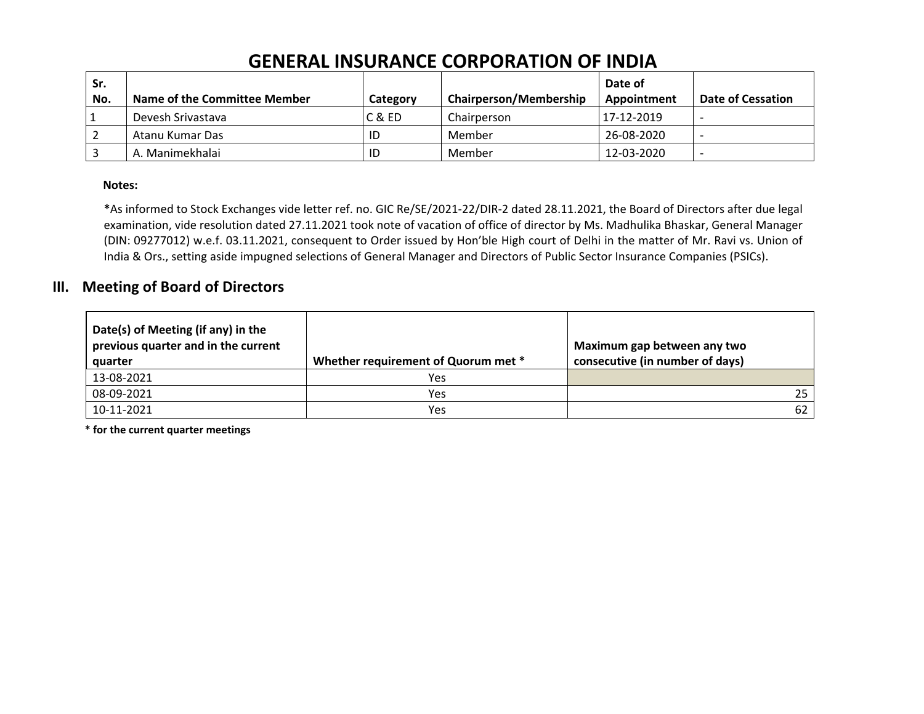|            | SEREIVE HIJVINARE CONTONATION OF INDIA |          |                               |                        |                          |  |  |  |  |
|------------|----------------------------------------|----------|-------------------------------|------------------------|--------------------------|--|--|--|--|
| Sr.<br>No. | Name of the Committee Member           | Category | <b>Chairperson/Membership</b> | Date of<br>Appointment | <b>Date of Cessation</b> |  |  |  |  |
|            | Devesh Srivastava                      | C & ED   | Chairperson                   | 17-12-2019             |                          |  |  |  |  |
|            | Atanu Kumar Das                        | ID       | Member                        | 26-08-2020             | $\overline{\phantom{0}}$ |  |  |  |  |
|            | A. Manimekhalai                        | ID       | Member                        | 12-03-2020             |                          |  |  |  |  |

#### **Notes:**

**\***As informed to Stock Exchanges vide letter ref. no. GIC Re/SE/2021‐22/DIR‐2 dated 28.11.2021, the Board of Directors after due legal examination, vide resolution dated 27.11.2021 took note of vacation of office of director by Ms. Madhulika Bhaskar, General Manager (DIN: 09277012) w.e.f. 03.11.2021, consequent to Order issued by Hon'ble High court of Delhi in the matter of Mr. Ravi vs. Union of India & Ors., setting aside impugned selections of General Manager and Directors of Public Sector Insurance Companies (PSICs).

### **III. Meeting of Board of Directors**

| Date(s) of Meeting (if any) in the<br>previous quarter and in the current<br>quarter | Whether requirement of Quorum met * | Maximum gap between any two<br>consecutive (in number of days) |
|--------------------------------------------------------------------------------------|-------------------------------------|----------------------------------------------------------------|
| 13-08-2021                                                                           | Yes                                 |                                                                |
| 08-09-2021                                                                           | Yes                                 | 25                                                             |
| 10-11-2021                                                                           | Yes                                 | 62                                                             |

**\* for the current quarter meetings**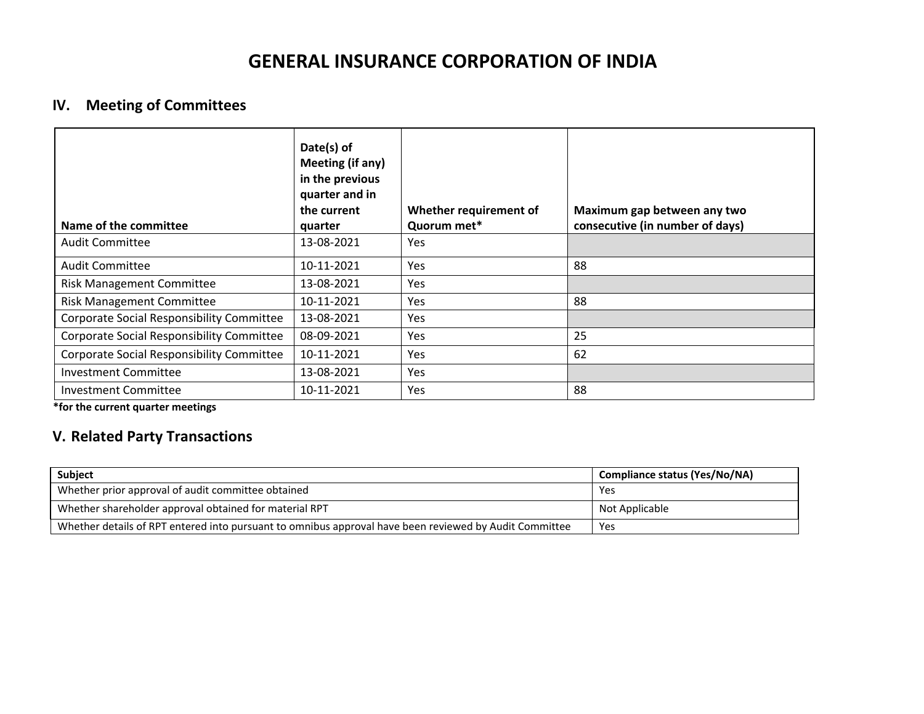### **IV. Meeting of Committees**

| Name of the committee                     | Date(s) of<br>Meeting (if any)<br>in the previous<br>quarter and in<br>the current<br>quarter | Whether requirement of<br>Quorum met* | Maximum gap between any two<br>consecutive (in number of days) |
|-------------------------------------------|-----------------------------------------------------------------------------------------------|---------------------------------------|----------------------------------------------------------------|
| <b>Audit Committee</b>                    | 13-08-2021                                                                                    | Yes                                   |                                                                |
| <b>Audit Committee</b>                    | 10-11-2021                                                                                    | Yes                                   | 88                                                             |
| <b>Risk Management Committee</b>          | 13-08-2021                                                                                    | Yes                                   |                                                                |
| <b>Risk Management Committee</b>          | 10-11-2021                                                                                    | Yes                                   | 88                                                             |
| Corporate Social Responsibility Committee | 13-08-2021                                                                                    | Yes                                   |                                                                |
| Corporate Social Responsibility Committee | 08-09-2021                                                                                    | Yes                                   | 25                                                             |
| Corporate Social Responsibility Committee | 10-11-2021                                                                                    | Yes                                   | 62                                                             |
| <b>Investment Committee</b>               | 13-08-2021                                                                                    | Yes                                   |                                                                |
| <b>Investment Committee</b>               | 10-11-2021                                                                                    | Yes                                   | 88                                                             |

**\*for the current quarter meetings**

### **V. Related Party Transactions**

| <b>Subject</b>                                                                                         | <b>Compliance status (Yes/No/NA)</b> |
|--------------------------------------------------------------------------------------------------------|--------------------------------------|
| Whether prior approval of audit committee obtained                                                     | Yes                                  |
| Whether shareholder approval obtained for material RPT                                                 | Not Applicable                       |
| Whether details of RPT entered into pursuant to omnibus approval have been reviewed by Audit Committee | Yes                                  |